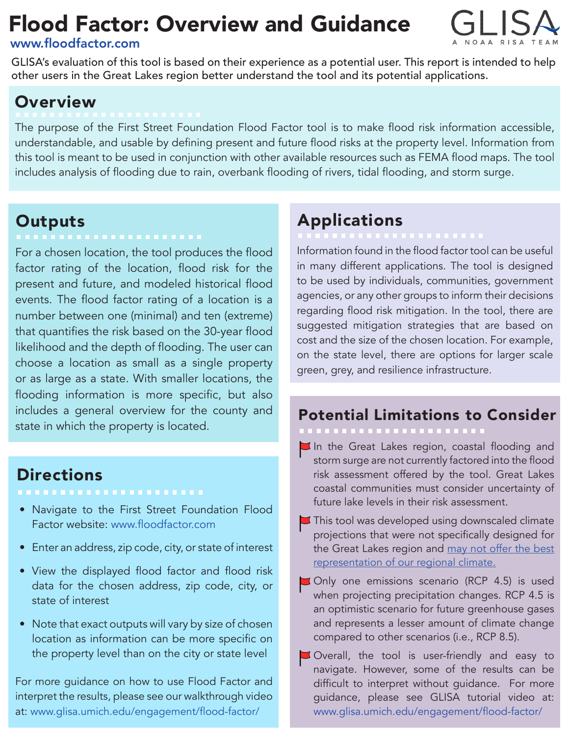## Flood Factor: Overview and Guidance

#### [www.floodfactor.com](http://www.floodfactor.com)



GLISA's evaluation of this tool is based on their experience as a potential user. This report is intended to help other users in the Great Lakes region better understand the tool and its potential applications.

### **Overview**

The purpose of the First Street Foundation Flood Factor tool is to make flood risk information accessible, understandable, and usable by defining present and future flood risks at the property level. Information from this tool is meant to be used in conjunction with other available resources such as FEMA flood maps. The tool includes analysis of flooding due to rain, overbank flooding of rivers, tidal flooding, and storm surge.

# Outputs<br>------------------------

For a chosen location, the tool produces the flood factor rating of the location, flood risk for the present and future, and modeled historical flood events. The flood factor rating of a location is a number between one (minimal) and ten (extreme) that quantifies the risk based on the 30-year flood likelihood and the depth of flooding. The user can choose a location as small as a single property or as large as a state. With smaller locations, the flooding information is more specific, but also includes a general overview for the county and state in which the property is located.

#### **Directions**

- Navigate to the First Street Foundation Flood Factor website: [www.floodfactor.com](http://www.floodfactor.com)
- Enter an address, zip code, city, or state of interest
- View the displayed flood factor and flood risk data for the chosen address, zip code, city, or state of interest
- Note that exact outputs will vary by size of chosen location as information can be more specific on the property level than on the city or state level

For more guidance on how to use Flood Factor and interpret the results, please see our walkthrough video at: [www.glisa.umich.edu/engagement/flood-factor/](http://www.glisa.umich.edu/engagement/flood-factor/) 

### Applications

Information found in the flood factor tool can be useful in many different applications. The tool is designed to be used by individuals, communities, government agencies, or any other groups to inform their decisions regarding flood risk mitigation. In the tool, there are suggested mitigation strategies that are based on cost and the size of the chosen location. For example, on the state level, there are options for larger scale green, grey, and resilience infrastructure.

#### Potential Limitations to Consider

 $\Box$  In the Great Lakes region, coastal flooding and storm surge are not currently factored into the flood risk assessment offered by the tool. Great Lakes coastal communities must consider uncertainty of future lake levels in their risk assessment.

- $\blacktriangleright$  This tool was developed using downscaled climate projections that were not specifically designed for the Great Lakes region and may not offer the best [representation of our regional climate.](https://glisa.umich.edu/sustained-assessment/climate-models/)
- Only one emissions scenario (RCP 4.5) is used when projecting precipitation changes. RCP 4.5 is an optimistic scenario for future greenhouse gases and represents a lesser amount of climate change compared to other scenarios (i.e., RCP 8.5).
- Overall, the tool is user-friendly and easy to navigate. However, some of the results can be difficult to interpret without guidance. For more guidance, please see GLISA tutorial video at: [www.glisa.umich.edu/engagement/flood-factor/](http://www.glisa.umich.edu/engagement/flood-factor/)